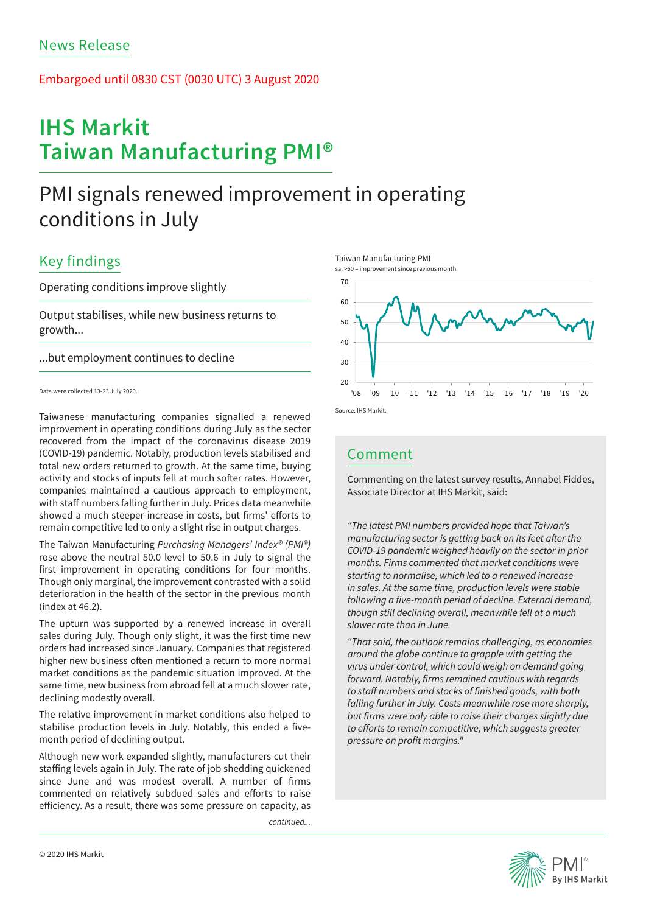### Embargoed until 0830 CST (0030 UTC) 3 August 2020

# **IHS Markit Taiwan Manufacturing PMI®**

# PMI signals renewed improvement in operating conditions in July

## Key findings

### Operating conditions improve slightly

Output stabilises, while new business returns to growth...

...but employment continues to decline

Taiwanese manufacturing companies signalled a renewed improvement in operating conditions during July as the sector recovered from the impact of the coronavirus disease 2019 (COVID-19) pandemic. Notably, production levels stabilised and total new orders returned to growth. At the same time, buying activity and stocks of inputs fell at much softer rates. However, companies maintained a cautious approach to employment, with staff numbers falling further in July. Prices data meanwhile showed a much steeper increase in costs, but firms' efforts to remain competitive led to only a slight rise in output charges.

The Taiwan Manufacturing *Purchasing Managers' Index® (PMI®)*  rose above the neutral 50.0 level to 50.6 in July to signal the first improvement in operating conditions for four months. Though only marginal, the improvement contrasted with a solid deterioration in the health of the sector in the previous month  $(index at 46.2)$ 

The upturn was supported by a renewed increase in overall sales during July. Though only slight, it was the first time new orders had increased since January. Companies that registered higher new business often mentioned a return to more normal market conditions as the pandemic situation improved. At the same time, new business from abroad fell at a much slower rate, declining modestly overall.

The relative improvement in market conditions also helped to stabilise production levels in July. Notably, this ended a fivemonth period of declining output.

Although new work expanded slightly, manufacturers cut their staffing levels again in July. The rate of job shedding quickened since June and was modest overall. A number of firms commented on relatively subdued sales and efforts to raise efficiency. As a result, there was some pressure on capacity, as

*continued...*







## Comment

Commenting on the latest survey results, Annabel Fiddes, Associate Director at IHS Markit, said:

*"The latest PMI numbers provided hope that Taiwan's*  manufacturing sector is getting back on its feet after the *COVID-19 pandemic weighed heavily on the sector in prior months. Firms commented that market conditions were starting to normalise, which led to a renewed increase in sales. At the same time, production levels were stable*  following a five-month period of decline. External demand, *though still declining overall, meanwhile fell at a much slower rate than in June.* 

*"That said, the outlook remains challenging, as economies around the globe continue to grapple with getting the virus under control, which could weigh on demand going*  forward. Notably, firms remained cautious with regards to staff numbers and stocks of finished goods, with both *falling further in July. Costs meanwhile rose more sharply,*  but firms were only able to raise their charges slightly due to efforts to remain competitive, which suggests greater pressure on profit margins."



Data were collected 13-23 July 2020.